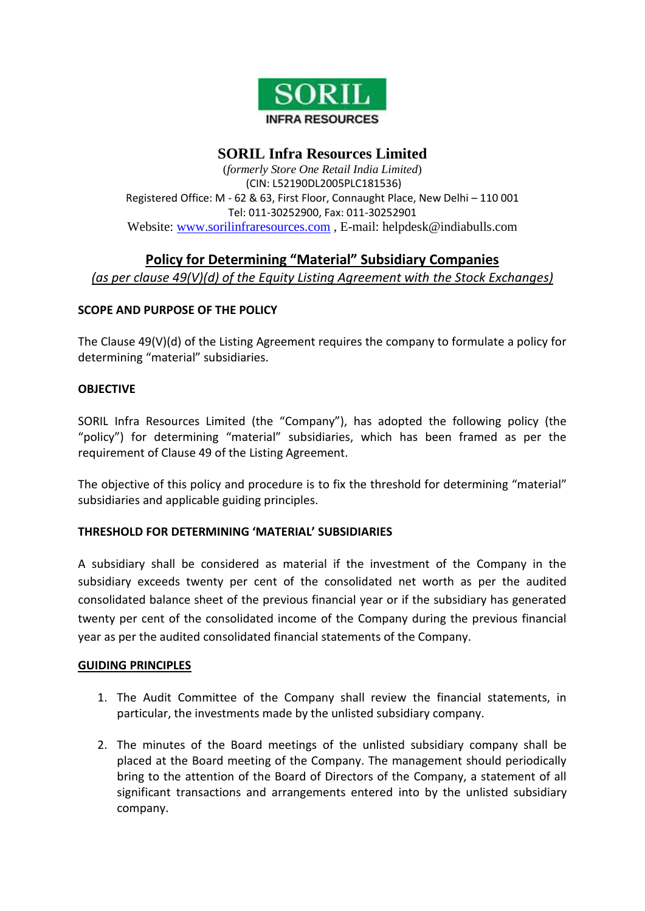

## **SORIL Infra Resources Limited**

(*formerly Store One Retail India Limited*) (CIN: L52190DL2005PLC181536) Registered Office: M - 62 & 63, First Floor, Connaught Place, New Delhi – 110 001 Tel: 011-30252900, Fax: 011-30252901 Website: [www.sorilinfraresources.com](http://www.sorilinfraresources.com/) , E-mail: helpdesk@indiabulls.com

# **Policy for Determining "Material" Subsidiary Companies**

*(as per clause 49(V)(d) of the Equity Listing Agreement with the Stock Exchanges)*

### **SCOPE AND PURPOSE OF THE POLICY**

The Clause 49(V)(d) of the Listing Agreement requires the company to formulate a policy for determining "material" subsidiaries.

### **OBJECTIVE**

SORIL Infra Resources Limited (the "Company"), has adopted the following policy (the "policy") for determining "material" subsidiaries, which has been framed as per the requirement of Clause 49 of the Listing Agreement.

The objective of this policy and procedure is to fix the threshold for determining "material" subsidiaries and applicable guiding principles.

### **THRESHOLD FOR DETERMINING 'MATERIAL' SUBSIDIARIES**

A subsidiary shall be considered as material if the investment of the Company in the subsidiary exceeds twenty per cent of the consolidated net worth as per the audited consolidated balance sheet of the previous financial year or if the subsidiary has generated twenty per cent of the consolidated income of the Company during the previous financial year as per the audited consolidated financial statements of the Company.

### **GUIDING PRINCIPLES**

- 1. The Audit Committee of the Company shall review the financial statements, in particular, the investments made by the unlisted subsidiary company.
- 2. The minutes of the Board meetings of the unlisted subsidiary company shall be placed at the Board meeting of the Company. The management should periodically bring to the attention of the Board of Directors of the Company, a statement of all significant transactions and arrangements entered into by the unlisted subsidiary company.